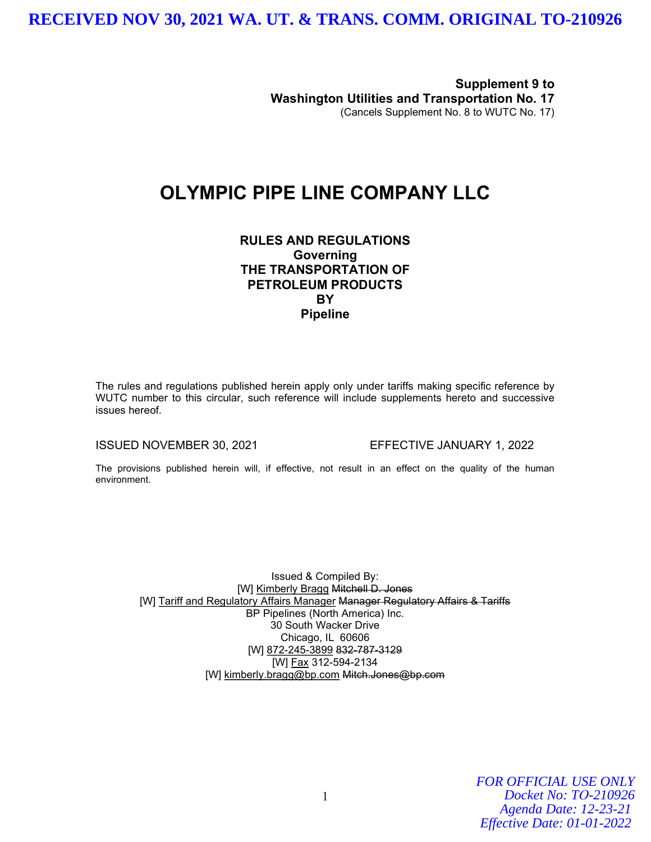Supplement 9 to Washington Utilities and Transportation No. 17 (Cancels Supplement No. 8 to WUTC No. 17)

#### OLYMPIC PIPE LINE COMPANY LLC

RULES AND REGULATIONS **Governing** THE TRANSPORTATION OF PETROLEUM PRODUCTS **BY** Pipeline

The rules and regulations published herein apply only under tariffs making specific reference by WUTC number to this circular, such reference will include supplements hereto and successive issues hereof.

ISSUED NOVEMBER 30, 2021 EFFECTIVE JANUARY 1, 2022

The provisions published herein will, if effective, not result in an effect on the quality of the human environment.

Issued & Compiled By: [W] Kimberly Bragg Mitchell D. Jones [W] Tariff and Regulatory Affairs Manager Manager Regulatory Affairs & Tariffs BP Pipelines (North America) Inc. 30 South Wacker Drive Chicago, IL 60606 [W] 872-245-3899 832-787-3129 [W] Fax 312-594-2134 [W] kimberly.bragg@bp.com Mitch.Jones@bp.com

> *FOR OFFICIAL USE ONLY Docket No: TO-210926 Agenda Date: 12-23-21 Effective Date: 01-01-2022*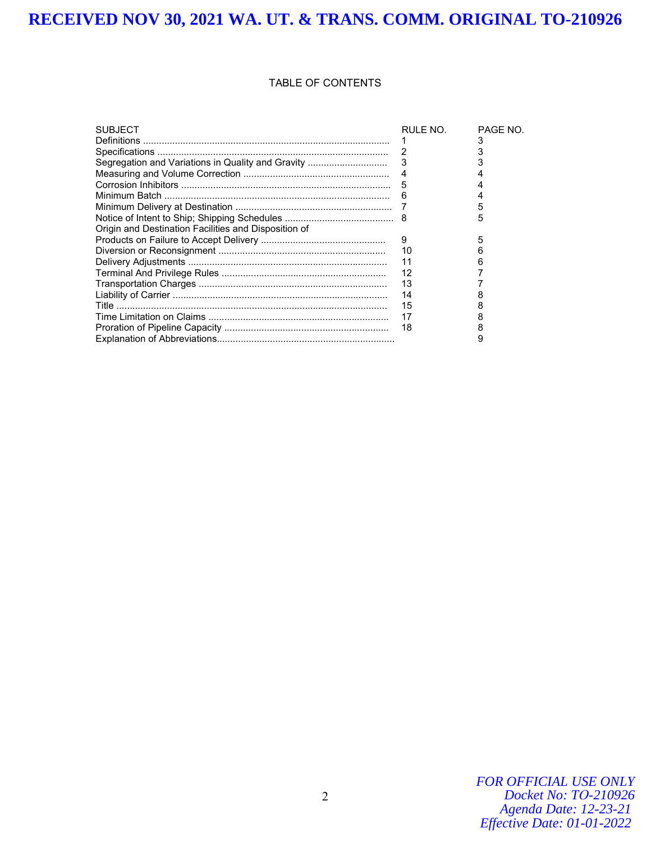#### TABLE OF CONTENTS

| <b>SUBJECT</b>                                       | RULE NO.       | PAGE NO. |
|------------------------------------------------------|----------------|----------|
|                                                      |                |          |
|                                                      |                |          |
|                                                      |                |          |
|                                                      | $\overline{4}$ |          |
|                                                      |                |          |
|                                                      |                |          |
|                                                      |                |          |
|                                                      |                | 5        |
| Origin and Destination Facilities and Disposition of |                |          |
|                                                      | 9              | 5        |
|                                                      | 10             |          |
|                                                      | 11             |          |
|                                                      | 12             |          |
|                                                      | - 13           |          |
|                                                      | 14             |          |
|                                                      | 15             |          |
|                                                      | 17             |          |
|                                                      | 18             |          |
|                                                      |                |          |

*FOR OFFICIAL USE ONLY Docket No: TO-210926 Agenda Date: 12-23-21 Effective Date: 01-01-2022*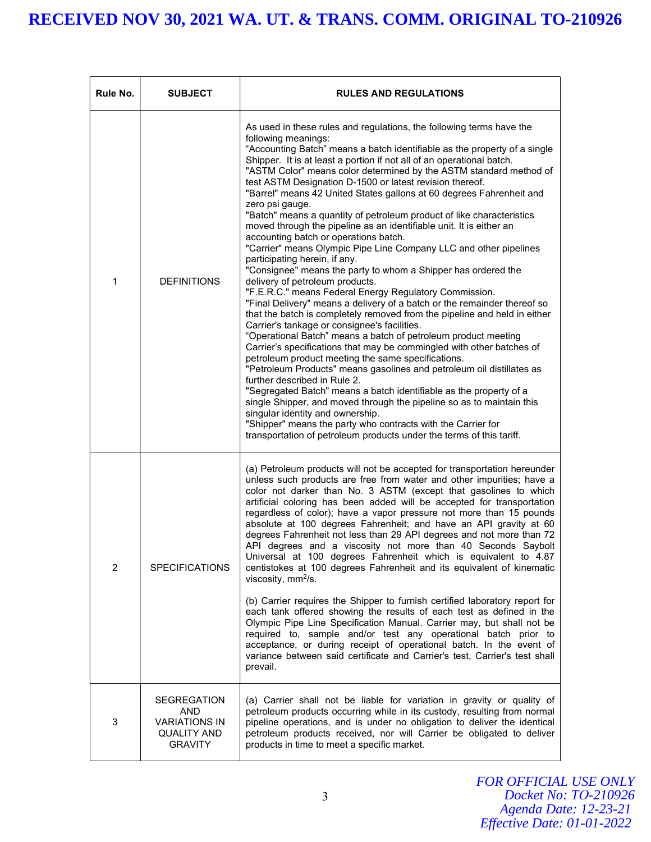| Rule No. | <b>SUBJECT</b>                                                                             | <b>RULES AND REGULATIONS</b>                                                                                                                                                                                                                                                                                                                                                                                                                                                                                                                                                                                                                                                                                                                                                                                                                                                                                                                                                                                                                                                                                                                                                                                                                                                                                                                                                                                                                                                                                                                                                                                                                                                                                                                                                              |
|----------|--------------------------------------------------------------------------------------------|-------------------------------------------------------------------------------------------------------------------------------------------------------------------------------------------------------------------------------------------------------------------------------------------------------------------------------------------------------------------------------------------------------------------------------------------------------------------------------------------------------------------------------------------------------------------------------------------------------------------------------------------------------------------------------------------------------------------------------------------------------------------------------------------------------------------------------------------------------------------------------------------------------------------------------------------------------------------------------------------------------------------------------------------------------------------------------------------------------------------------------------------------------------------------------------------------------------------------------------------------------------------------------------------------------------------------------------------------------------------------------------------------------------------------------------------------------------------------------------------------------------------------------------------------------------------------------------------------------------------------------------------------------------------------------------------------------------------------------------------------------------------------------------------|
| 1        | <b>DEFINITIONS</b>                                                                         | As used in these rules and regulations, the following terms have the<br>following meanings:<br>"Accounting Batch" means a batch identifiable as the property of a single<br>Shipper. It is at least a portion if not all of an operational batch.<br>"ASTM Color" means color determined by the ASTM standard method of<br>test ASTM Designation D-1500 or latest revision thereof.<br>"Barrel" means 42 United States gallons at 60 degrees Fahrenheit and<br>zero psi gauge.<br>"Batch" means a quantity of petroleum product of like characteristics<br>moved through the pipeline as an identifiable unit. It is either an<br>accounting batch or operations batch.<br>"Carrier" means Olympic Pipe Line Company LLC and other pipelines<br>participating herein, if any.<br>"Consignee" means the party to whom a Shipper has ordered the<br>delivery of petroleum products.<br>"F.E.R.C." means Federal Energy Regulatory Commission.<br>"Final Delivery" means a delivery of a batch or the remainder thereof so<br>that the batch is completely removed from the pipeline and held in either<br>Carrier's tankage or consignee's facilities.<br>"Operational Batch" means a batch of petroleum product meeting<br>Carrier's specifications that may be commingled with other batches of<br>petroleum product meeting the same specifications.<br>"Petroleum Products" means gasolines and petroleum oil distillates as<br>further described in Rule 2.<br>"Segregated Batch" means a batch identifiable as the property of a<br>single Shipper, and moved through the pipeline so as to maintain this<br>singular identity and ownership.<br>"Shipper" means the party who contracts with the Carrier for<br>transportation of petroleum products under the terms of this tariff. |
| 2        | <b>SPECIFICATIONS</b>                                                                      | (a) Petroleum products will not be accepted for transportation hereunder<br>unless such products are free from water and other impurities; have a<br>color not darker than No. 3 ASTM (except that gasolines to which<br>artificial coloring has been added will be accepted for transportation<br>regardless of color); have a vapor pressure not more than 15 pounds<br>absolute at 100 degrees Fahrenheit; and have an API gravity at 60<br>degrees Fahrenheit not less than 29 API degrees and not more than 72<br>API degrees and a viscosity not more than 40 Seconds Saybolt<br>Universal at 100 degrees Fahrenheit which is equivalent to 4.87<br>centistokes at 100 degrees Fahrenheit and its equivalent of kinematic<br>viscosity, $mm^2/s$ .<br>(b) Carrier requires the Shipper to furnish certified laboratory report for<br>each tank offered showing the results of each test as defined in the<br>Olympic Pipe Line Specification Manual. Carrier may, but shall not be<br>required to, sample and/or test any operational batch prior to<br>acceptance, or during receipt of operational batch. In the event of<br>variance between said certificate and Carrier's test, Carrier's test shall<br>prevail.                                                                                                                                                                                                                                                                                                                                                                                                                                                                                                                                                               |
| 3        | <b>SEGREGATION</b><br>AND.<br><b>VARIATIONS IN</b><br><b>QUALITY AND</b><br><b>GRAVITY</b> | (a) Carrier shall not be liable for variation in gravity or quality of<br>petroleum products occurring while in its custody, resulting from normal<br>pipeline operations, and is under no obligation to deliver the identical<br>petroleum products received, nor will Carrier be obligated to deliver<br>products in time to meet a specific market.                                                                                                                                                                                                                                                                                                                                                                                                                                                                                                                                                                                                                                                                                                                                                                                                                                                                                                                                                                                                                                                                                                                                                                                                                                                                                                                                                                                                                                    |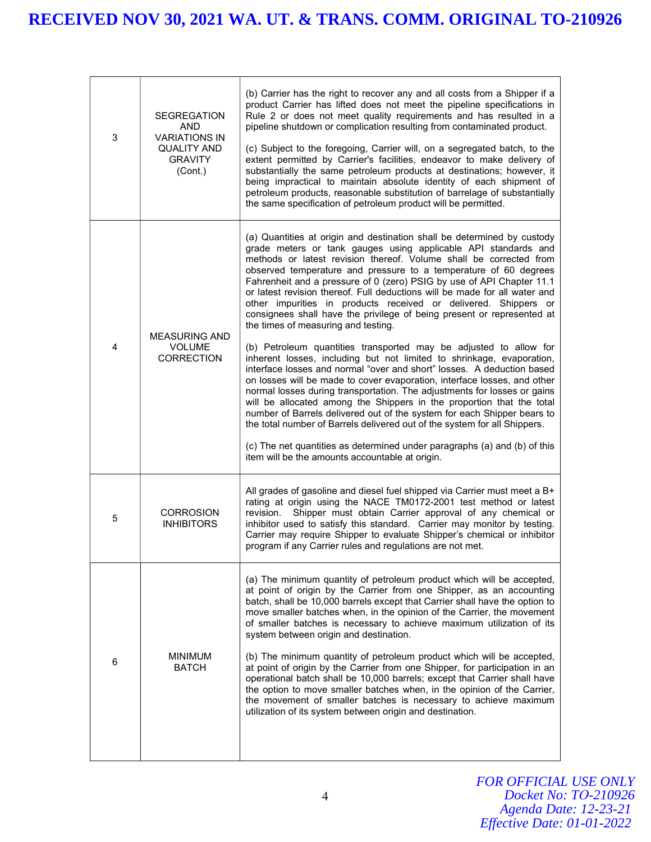| 3 | <b>SEGREGATION</b><br><b>AND</b><br><b>VARIATIONS IN</b><br><b>QUALITY AND</b><br><b>GRAVITY</b><br>(Cont.) | (b) Carrier has the right to recover any and all costs from a Shipper if a<br>product Carrier has lifted does not meet the pipeline specifications in<br>Rule 2 or does not meet quality requirements and has resulted in a<br>pipeline shutdown or complication resulting from contaminated product.<br>(c) Subject to the foregoing, Carrier will, on a segregated batch, to the<br>extent permitted by Carrier's facilities, endeavor to make delivery of<br>substantially the same petroleum products at destinations; however, it<br>being impractical to maintain absolute identity of each shipment of<br>petroleum products, reasonable substitution of barrelage of substantially<br>the same specification of petroleum product will be permitted.                                                                                                                                                                                                                                                                                                                                                                                                                                                                                                                                                                                                                    |
|---|-------------------------------------------------------------------------------------------------------------|---------------------------------------------------------------------------------------------------------------------------------------------------------------------------------------------------------------------------------------------------------------------------------------------------------------------------------------------------------------------------------------------------------------------------------------------------------------------------------------------------------------------------------------------------------------------------------------------------------------------------------------------------------------------------------------------------------------------------------------------------------------------------------------------------------------------------------------------------------------------------------------------------------------------------------------------------------------------------------------------------------------------------------------------------------------------------------------------------------------------------------------------------------------------------------------------------------------------------------------------------------------------------------------------------------------------------------------------------------------------------------|
| 4 | <b>MEASURING AND</b><br><b>VOLUME</b><br><b>CORRECTION</b>                                                  | (a) Quantities at origin and destination shall be determined by custody<br>grade meters or tank gauges using applicable API standards and<br>methods or latest revision thereof. Volume shall be corrected from<br>observed temperature and pressure to a temperature of 60 degrees<br>Fahrenheit and a pressure of 0 (zero) PSIG by use of API Chapter 11.1<br>or latest revision thereof. Full deductions will be made for all water and<br>other impurities in products received or delivered. Shippers or<br>consignees shall have the privilege of being present or represented at<br>the times of measuring and testing.<br>(b) Petroleum quantities transported may be adjusted to allow for<br>inherent losses, including but not limited to shrinkage, evaporation,<br>interface losses and normal "over and short" losses. A deduction based<br>on losses will be made to cover evaporation, interface losses, and other<br>normal losses during transportation. The adjustments for losses or gains<br>will be allocated among the Shippers in the proportion that the total<br>number of Barrels delivered out of the system for each Shipper bears to<br>the total number of Barrels delivered out of the system for all Shippers.<br>(c) The net quantities as determined under paragraphs (a) and (b) of this<br>item will be the amounts accountable at origin. |
| 5 | <b>CORROSION</b><br><b>INHIBITORS</b>                                                                       | All grades of gasoline and diesel fuel shipped via Carrier must meet a B+<br>rating at origin using the NACE TM0172-2001 test method or latest<br>Shipper must obtain Carrier approval of any chemical or<br>revision.<br>inhibitor used to satisfy this standard. Carrier may monitor by testing.<br>Carrier may require Shipper to evaluate Shipper's chemical or inhibitor<br>program if any Carrier rules and regulations are not met.                                                                                                                                                                                                                                                                                                                                                                                                                                                                                                                                                                                                                                                                                                                                                                                                                                                                                                                                      |
| 6 | <b>MINIMUM</b><br><b>BATCH</b>                                                                              | (a) The minimum quantity of petroleum product which will be accepted,<br>at point of origin by the Carrier from one Shipper, as an accounting<br>batch, shall be 10,000 barrels except that Carrier shall have the option to<br>move smaller batches when, in the opinion of the Carrier, the movement<br>of smaller batches is necessary to achieve maximum utilization of its<br>system between origin and destination.<br>(b) The minimum quantity of petroleum product which will be accepted,<br>at point of origin by the Carrier from one Shipper, for participation in an<br>operational batch shall be 10,000 barrels; except that Carrier shall have<br>the option to move smaller batches when, in the opinion of the Carrier,<br>the movement of smaller batches is necessary to achieve maximum<br>utilization of its system between origin and destination.                                                                                                                                                                                                                                                                                                                                                                                                                                                                                                       |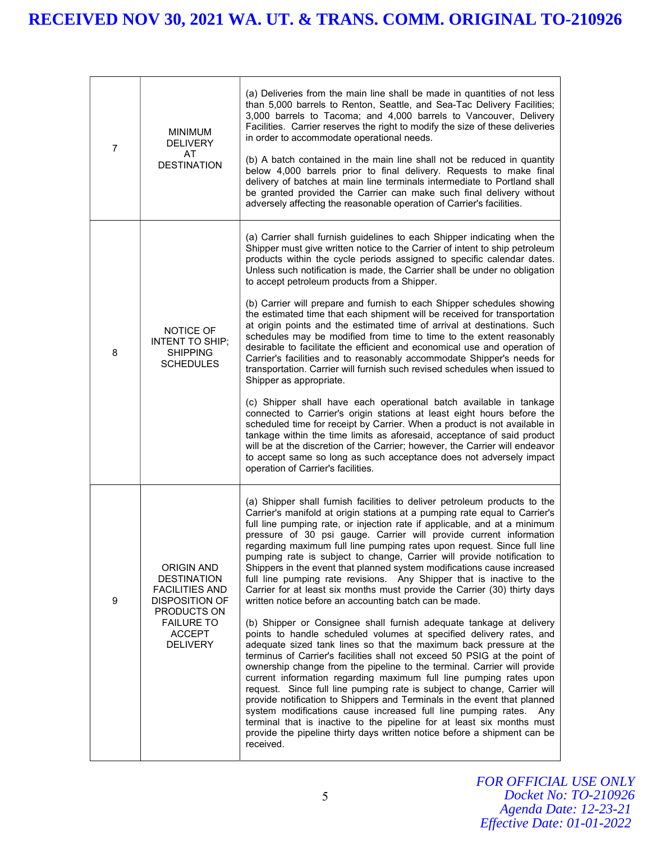| 7 | <b>MINIMUM</b><br><b>DELIVERY</b><br>AT<br><b>DESTINATION</b>                                                                                                     | (a) Deliveries from the main line shall be made in quantities of not less<br>than 5,000 barrels to Renton, Seattle, and Sea-Tac Delivery Facilities;<br>3,000 barrels to Tacoma; and 4,000 barrels to Vancouver, Delivery<br>Facilities. Carrier reserves the right to modify the size of these deliveries<br>in order to accommodate operational needs.<br>(b) A batch contained in the main line shall not be reduced in quantity<br>below 4,000 barrels prior to final delivery. Requests to make final<br>delivery of batches at main line terminals intermediate to Portland shall<br>be granted provided the Carrier can make such final delivery without<br>adversely affecting the reasonable operation of Carrier's facilities.                                                                                                                                                                                                                                                                                                                                                                                                                                                                                                                                                                                                                                                                                                                                                                                                                                                                          |
|---|-------------------------------------------------------------------------------------------------------------------------------------------------------------------|-------------------------------------------------------------------------------------------------------------------------------------------------------------------------------------------------------------------------------------------------------------------------------------------------------------------------------------------------------------------------------------------------------------------------------------------------------------------------------------------------------------------------------------------------------------------------------------------------------------------------------------------------------------------------------------------------------------------------------------------------------------------------------------------------------------------------------------------------------------------------------------------------------------------------------------------------------------------------------------------------------------------------------------------------------------------------------------------------------------------------------------------------------------------------------------------------------------------------------------------------------------------------------------------------------------------------------------------------------------------------------------------------------------------------------------------------------------------------------------------------------------------------------------------------------------------------------------------------------------------|
| 8 | NOTICE OF<br><b>INTENT TO SHIP;</b><br><b>SHIPPING</b><br><b>SCHEDULES</b>                                                                                        | (a) Carrier shall furnish guidelines to each Shipper indicating when the<br>Shipper must give written notice to the Carrier of intent to ship petroleum<br>products within the cycle periods assigned to specific calendar dates.<br>Unless such notification is made, the Carrier shall be under no obligation<br>to accept petroleum products from a Shipper.<br>(b) Carrier will prepare and furnish to each Shipper schedules showing<br>the estimated time that each shipment will be received for transportation<br>at origin points and the estimated time of arrival at destinations. Such<br>schedules may be modified from time to time to the extent reasonably<br>desirable to facilitate the efficient and economical use and operation of<br>Carrier's facilities and to reasonably accommodate Shipper's needs for<br>transportation. Carrier will furnish such revised schedules when issued to<br>Shipper as appropriate.<br>(c) Shipper shall have each operational batch available in tankage<br>connected to Carrier's origin stations at least eight hours before the<br>scheduled time for receipt by Carrier. When a product is not available in<br>tankage within the time limits as aforesaid, acceptance of said product<br>will be at the discretion of the Carrier; however, the Carrier will endeavor<br>to accept same so long as such acceptance does not adversely impact<br>operation of Carrier's facilities.                                                                                                                                                                   |
| 9 | <b>ORIGIN AND</b><br><b>DESTINATION</b><br><b>FACILITIES AND</b><br><b>DISPOSITION OF</b><br>PRODUCTS ON<br><b>FAILURE TO</b><br><b>ACCEPT</b><br><b>DELIVERY</b> | (a) Shipper shall furnish facilities to deliver petroleum products to the<br>Carrier's manifold at origin stations at a pumping rate equal to Carrier's<br>full line pumping rate, or injection rate if applicable, and at a minimum<br>pressure of 30 psi gauge. Carrier will provide current information<br>regarding maximum full line pumping rates upon request. Since full line<br>pumping rate is subject to change, Carrier will provide notification to<br>Shippers in the event that planned system modifications cause increased<br>full line pumping rate revisions. Any Shipper that is inactive to the<br>Carrier for at least six months must provide the Carrier (30) thirty days<br>written notice before an accounting batch can be made.<br>(b) Shipper or Consignee shall furnish adequate tankage at delivery<br>points to handle scheduled volumes at specified delivery rates, and<br>adequate sized tank lines so that the maximum back pressure at the<br>terminus of Carrier's facilities shall not exceed 50 PSIG at the point of<br>ownership change from the pipeline to the terminal. Carrier will provide<br>current information regarding maximum full line pumping rates upon<br>request. Since full line pumping rate is subject to change, Carrier will<br>provide notification to Shippers and Terminals in the event that planned<br>system modifications cause increased full line pumping rates.<br>Any<br>terminal that is inactive to the pipeline for at least six months must<br>provide the pipeline thirty days written notice before a shipment can be<br>received. |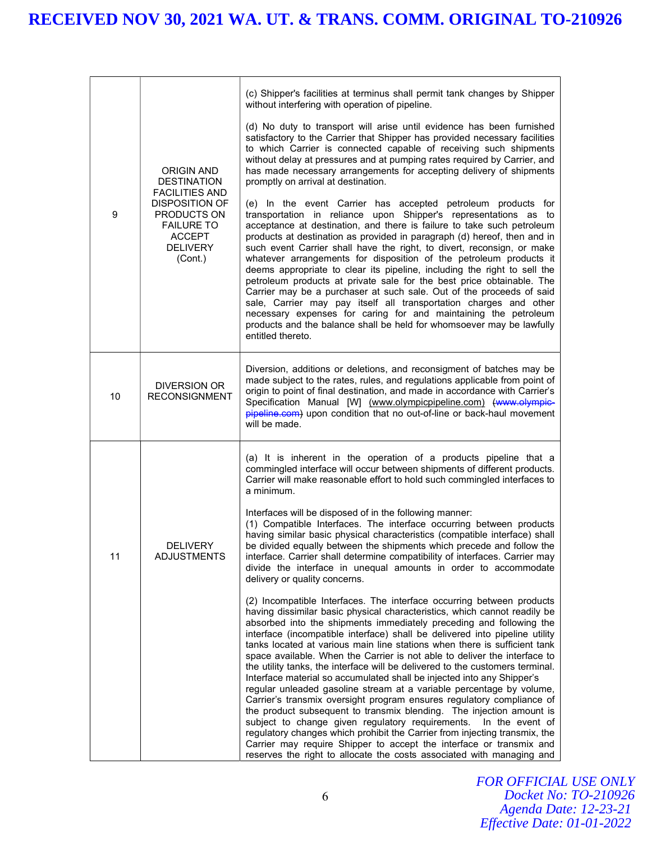|  |    |                                                                                                          | (c) Shipper's facilities at terminus shall permit tank changes by Shipper<br>without interfering with operation of pipeline.                                                                                                                                                                                                                                                                                                                                                                                                                                                                                                                                                                                                                                                                                                                                                                             |
|--|----|----------------------------------------------------------------------------------------------------------|----------------------------------------------------------------------------------------------------------------------------------------------------------------------------------------------------------------------------------------------------------------------------------------------------------------------------------------------------------------------------------------------------------------------------------------------------------------------------------------------------------------------------------------------------------------------------------------------------------------------------------------------------------------------------------------------------------------------------------------------------------------------------------------------------------------------------------------------------------------------------------------------------------|
|  |    | <b>ORIGIN AND</b><br><b>DESTINATION</b><br><b>FACILITIES AND</b>                                         | (d) No duty to transport will arise until evidence has been furnished<br>satisfactory to the Carrier that Shipper has provided necessary facilities<br>to which Carrier is connected capable of receiving such shipments<br>without delay at pressures and at pumping rates required by Carrier, and<br>has made necessary arrangements for accepting delivery of shipments<br>promptly on arrival at destination.                                                                                                                                                                                                                                                                                                                                                                                                                                                                                       |
|  | 9  | <b>DISPOSITION OF</b><br>PRODUCTS ON<br><b>FAILURE TO</b><br><b>ACCEPT</b><br><b>DELIVERY</b><br>(Cont.) | (e) In the event Carrier has accepted petroleum products for<br>transportation in reliance upon Shipper's representations as to<br>acceptance at destination, and there is failure to take such petroleum<br>products at destination as provided in paragraph (d) hereof, then and in<br>such event Carrier shall have the right, to divert, reconsign, or make<br>whatever arrangements for disposition of the petroleum products it<br>deems appropriate to clear its pipeline, including the right to sell the<br>petroleum products at private sale for the best price obtainable. The<br>Carrier may be a purchaser at such sale. Out of the proceeds of said<br>sale, Carrier may pay itself all transportation charges and other<br>necessary expenses for caring for and maintaining the petroleum<br>products and the balance shall be held for whomsoever may be lawfully<br>entitled thereto. |
|  | 10 | <b>DIVERSION OR</b><br><b>RECONSIGNMENT</b>                                                              | Diversion, additions or deletions, and reconsigment of batches may be<br>made subject to the rates, rules, and regulations applicable from point of<br>origin to point of final destination, and made in accordance with Carrier's<br>Specification Manual [W] (www.olympicpipeline.com) (www.olympic-<br>pipeline.com) upon condition that no out-of-line or back-haul movement<br>will be made.                                                                                                                                                                                                                                                                                                                                                                                                                                                                                                        |
|  |    |                                                                                                          | (a) It is inherent in the operation of a products pipeline that a<br>commingled interface will occur between shipments of different products.<br>Carrier will make reasonable effort to hold such commingled interfaces to<br>a minimum.                                                                                                                                                                                                                                                                                                                                                                                                                                                                                                                                                                                                                                                                 |
|  | 11 | <b>DELIVERY</b><br><b>ADJUSTMENTS</b>                                                                    | Interfaces will be disposed of in the following manner:<br>(1) Compatible Interfaces. The interface occurring between products<br>having similar basic physical characteristics (compatible interface) shall<br>be divided equally between the shipments which precede and follow the<br>interface. Carrier shall determine compatibility of interfaces. Carrier may<br>divide the interface in unequal amounts in order to accommodate<br>delivery or quality concerns.                                                                                                                                                                                                                                                                                                                                                                                                                                 |
|  |    |                                                                                                          | (2) Incompatible Interfaces. The interface occurring between products<br>having dissimilar basic physical characteristics, which cannot readily be<br>absorbed into the shipments immediately preceding and following the<br>interface (incompatible interface) shall be delivered into pipeline utility<br>tanks located at various main line stations when there is sufficient tank<br>space available. When the Carrier is not able to deliver the interface to<br>the utility tanks, the interface will be delivered to the customers terminal.<br>Interface material so accumulated shall be injected into any Shipper's<br>regular unleaded gasoline stream at a variable percentage by volume,<br>Carrier's transmix oversight program ensures regulatory compliance of<br>the product subsequent to transmix blending. The injection amount is                                                   |
|  |    |                                                                                                          | subject to change given regulatory requirements.<br>In the event of<br>regulatory changes which prohibit the Carrier from injecting transmix, the<br>Carrier may require Shipper to accept the interface or transmix and<br>reserves the right to allocate the costs associated with managing and                                                                                                                                                                                                                                                                                                                                                                                                                                                                                                                                                                                                        |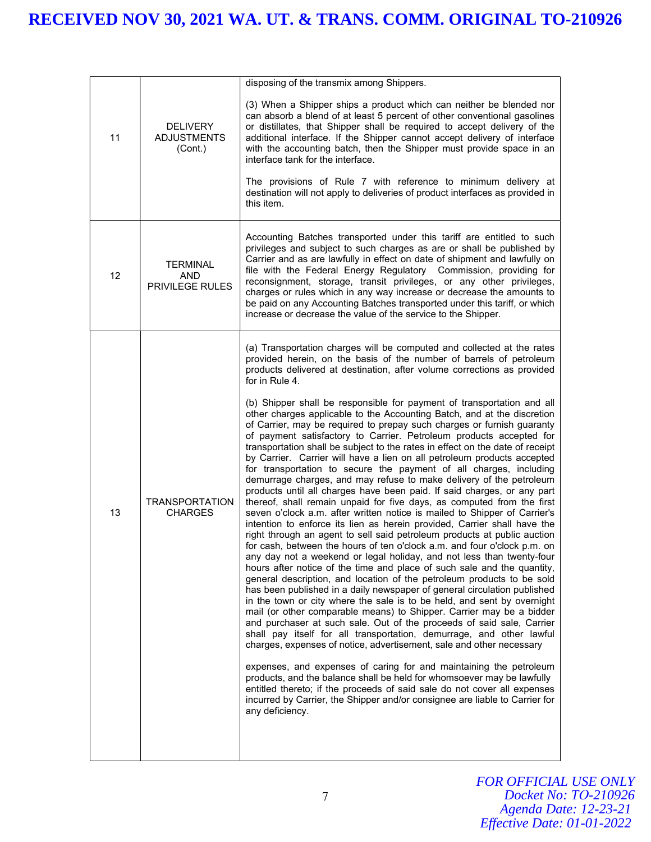|    |                                                  | disposing of the transmix among Shippers.                                                                                                                                                                                                                                                                                                                                                                                                                                                                                                                                                                                                                                                                                                                                                                                                                                                                                                                                                                                                                                                                                                                                                                                                                                                                                                                                                                                                                                                                                                                                                                                                                                                                                                                                                                                                                                                                                                                                                                                                                                                                                                                                                                                                                                                                                                           |
|----|--------------------------------------------------|-----------------------------------------------------------------------------------------------------------------------------------------------------------------------------------------------------------------------------------------------------------------------------------------------------------------------------------------------------------------------------------------------------------------------------------------------------------------------------------------------------------------------------------------------------------------------------------------------------------------------------------------------------------------------------------------------------------------------------------------------------------------------------------------------------------------------------------------------------------------------------------------------------------------------------------------------------------------------------------------------------------------------------------------------------------------------------------------------------------------------------------------------------------------------------------------------------------------------------------------------------------------------------------------------------------------------------------------------------------------------------------------------------------------------------------------------------------------------------------------------------------------------------------------------------------------------------------------------------------------------------------------------------------------------------------------------------------------------------------------------------------------------------------------------------------------------------------------------------------------------------------------------------------------------------------------------------------------------------------------------------------------------------------------------------------------------------------------------------------------------------------------------------------------------------------------------------------------------------------------------------------------------------------------------------------------------------------------------------|
| 11 | <b>DELIVERY</b><br><b>ADJUSTMENTS</b><br>(Cont.) | (3) When a Shipper ships a product which can neither be blended nor<br>can absorb a blend of at least 5 percent of other conventional gasolines<br>or distillates, that Shipper shall be required to accept delivery of the<br>additional interface. If the Shipper cannot accept delivery of interface<br>with the accounting batch, then the Shipper must provide space in an<br>interface tank for the interface.<br>The provisions of Rule 7 with reference to minimum delivery at<br>destination will not apply to deliveries of product interfaces as provided in<br>this item.                                                                                                                                                                                                                                                                                                                                                                                                                                                                                                                                                                                                                                                                                                                                                                                                                                                                                                                                                                                                                                                                                                                                                                                                                                                                                                                                                                                                                                                                                                                                                                                                                                                                                                                                                               |
| 12 | <b>TERMINAL</b><br><b>AND</b><br>PRIVILEGE RULES | Accounting Batches transported under this tariff are entitled to such<br>privileges and subject to such charges as are or shall be published by<br>Carrier and as are lawfully in effect on date of shipment and lawfully on<br>file with the Federal Energy Regulatory Commission, providing for<br>reconsignment, storage, transit privileges, or any other privileges,<br>charges or rules which in any way increase or decrease the amounts to<br>be paid on any Accounting Batches transported under this tariff, or which<br>increase or decrease the value of the service to the Shipper.                                                                                                                                                                                                                                                                                                                                                                                                                                                                                                                                                                                                                                                                                                                                                                                                                                                                                                                                                                                                                                                                                                                                                                                                                                                                                                                                                                                                                                                                                                                                                                                                                                                                                                                                                    |
| 13 | <b>TRANSPORTATION</b><br><b>CHARGES</b>          | (a) Transportation charges will be computed and collected at the rates<br>provided herein, on the basis of the number of barrels of petroleum<br>products delivered at destination, after volume corrections as provided<br>for in Rule 4.<br>(b) Shipper shall be responsible for payment of transportation and all<br>other charges applicable to the Accounting Batch, and at the discretion<br>of Carrier, may be required to prepay such charges or furnish guaranty<br>of payment satisfactory to Carrier. Petroleum products accepted for<br>transportation shall be subject to the rates in effect on the date of receipt<br>by Carrier. Carrier will have a lien on all petroleum products accepted<br>for transportation to secure the payment of all charges, including<br>demurrage charges, and may refuse to make delivery of the petroleum<br>products until all charges have been paid. If said charges, or any part<br>thereof, shall remain unpaid for five days, as computed from the first<br>seven o'clock a.m. after written notice is mailed to Shipper of Carrier's<br>intention to enforce its lien as herein provided, Carrier shall have the<br>right through an agent to sell said petroleum products at public auction<br>for cash, between the hours of ten o'clock a.m. and four o'clock p.m. on<br>any day not a weekend or legal holiday, and not less than twenty-four<br>hours after notice of the time and place of such sale and the quantity,<br>general description, and location of the petroleum products to be sold<br>has been published in a daily newspaper of general circulation published<br>in the town or city where the sale is to be held, and sent by overnight<br>mail (or other comparable means) to Shipper. Carrier may be a bidder<br>and purchaser at such sale. Out of the proceeds of said sale, Carrier<br>shall pay itself for all transportation, demurrage, and other lawful<br>charges, expenses of notice, advertisement, sale and other necessary<br>expenses, and expenses of caring for and maintaining the petroleum<br>products, and the balance shall be held for whomsoever may be lawfully<br>entitled thereto; if the proceeds of said sale do not cover all expenses<br>incurred by Carrier, the Shipper and/or consignee are liable to Carrier for<br>any deficiency. |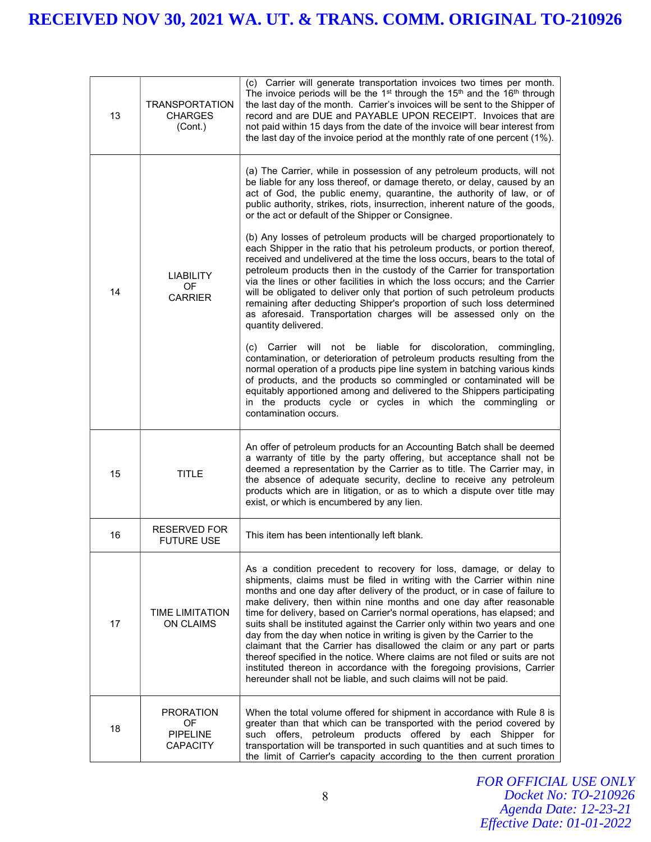| 13 | <b>TRANSPORTATION</b><br><b>CHARGES</b><br>(Cont.)           | (c) Carrier will generate transportation invoices two times per month.<br>The invoice periods will be the 1 <sup>st</sup> through the 15 <sup>th</sup> and the 16 <sup>th</sup> through<br>the last day of the month. Carrier's invoices will be sent to the Shipper of<br>record and are DUE and PAYABLE UPON RECEIPT. Invoices that are<br>not paid within 15 days from the date of the invoice will bear interest from<br>the last day of the invoice period at the monthly rate of one percent (1%).                                                                                                                                                                                                                                                                                                                                           |
|----|--------------------------------------------------------------|----------------------------------------------------------------------------------------------------------------------------------------------------------------------------------------------------------------------------------------------------------------------------------------------------------------------------------------------------------------------------------------------------------------------------------------------------------------------------------------------------------------------------------------------------------------------------------------------------------------------------------------------------------------------------------------------------------------------------------------------------------------------------------------------------------------------------------------------------|
|    |                                                              | (a) The Carrier, while in possession of any petroleum products, will not<br>be liable for any loss thereof, or damage thereto, or delay, caused by an<br>act of God, the public enemy, quarantine, the authority of law, or of<br>public authority, strikes, riots, insurrection, inherent nature of the goods,<br>or the act or default of the Shipper or Consignee.                                                                                                                                                                                                                                                                                                                                                                                                                                                                              |
| 14 | <b>LIABILITY</b><br>OF<br><b>CARRIER</b>                     | (b) Any losses of petroleum products will be charged proportionately to<br>each Shipper in the ratio that his petroleum products, or portion thereof,<br>received and undelivered at the time the loss occurs, bears to the total of<br>petroleum products then in the custody of the Carrier for transportation<br>via the lines or other facilities in which the loss occurs; and the Carrier<br>will be obligated to deliver only that portion of such petroleum products<br>remaining after deducting Shipper's proportion of such loss determined<br>as aforesaid. Transportation charges will be assessed only on the<br>quantity delivered.                                                                                                                                                                                                 |
|    |                                                              | (c) Carrier will not be liable for discoloration, commingling,<br>contamination, or deterioration of petroleum products resulting from the<br>normal operation of a products pipe line system in batching various kinds<br>of products, and the products so commingled or contaminated will be<br>equitably apportioned among and delivered to the Shippers participating<br>in the products cycle or cycles in which the commingling or<br>contamination occurs.                                                                                                                                                                                                                                                                                                                                                                                  |
| 15 | <b>TITLE</b>                                                 | An offer of petroleum products for an Accounting Batch shall be deemed<br>a warranty of title by the party offering, but acceptance shall not be<br>deemed a representation by the Carrier as to title. The Carrier may, in<br>the absence of adequate security, decline to receive any petroleum<br>products which are in litigation, or as to which a dispute over title may<br>exist, or which is encumbered by any lien.                                                                                                                                                                                                                                                                                                                                                                                                                       |
| 16 | RESERVED FOR<br><b>FUTURE USE</b>                            | This item has been intentionally left blank.                                                                                                                                                                                                                                                                                                                                                                                                                                                                                                                                                                                                                                                                                                                                                                                                       |
| 17 | <b>TIME LIMITATION</b><br><b>ON CLAIMS</b>                   | As a condition precedent to recovery for loss, damage, or delay to<br>shipments, claims must be filed in writing with the Carrier within nine<br>months and one day after delivery of the product, or in case of failure to<br>make delivery, then within nine months and one day after reasonable<br>time for delivery, based on Carrier's normal operations, has elapsed; and<br>suits shall be instituted against the Carrier only within two years and one<br>day from the day when notice in writing is given by the Carrier to the<br>claimant that the Carrier has disallowed the claim or any part or parts<br>thereof specified in the notice. Where claims are not filed or suits are not<br>instituted thereon in accordance with the foregoing provisions, Carrier<br>hereunder shall not be liable, and such claims will not be paid. |
| 18 | <b>PRORATION</b><br>OF<br><b>PIPELINE</b><br><b>CAPACITY</b> | When the total volume offered for shipment in accordance with Rule 8 is<br>greater than that which can be transported with the period covered by<br>such offers, petroleum products offered by each Shipper for<br>transportation will be transported in such quantities and at such times to<br>the limit of Carrier's capacity according to the then current proration                                                                                                                                                                                                                                                                                                                                                                                                                                                                           |